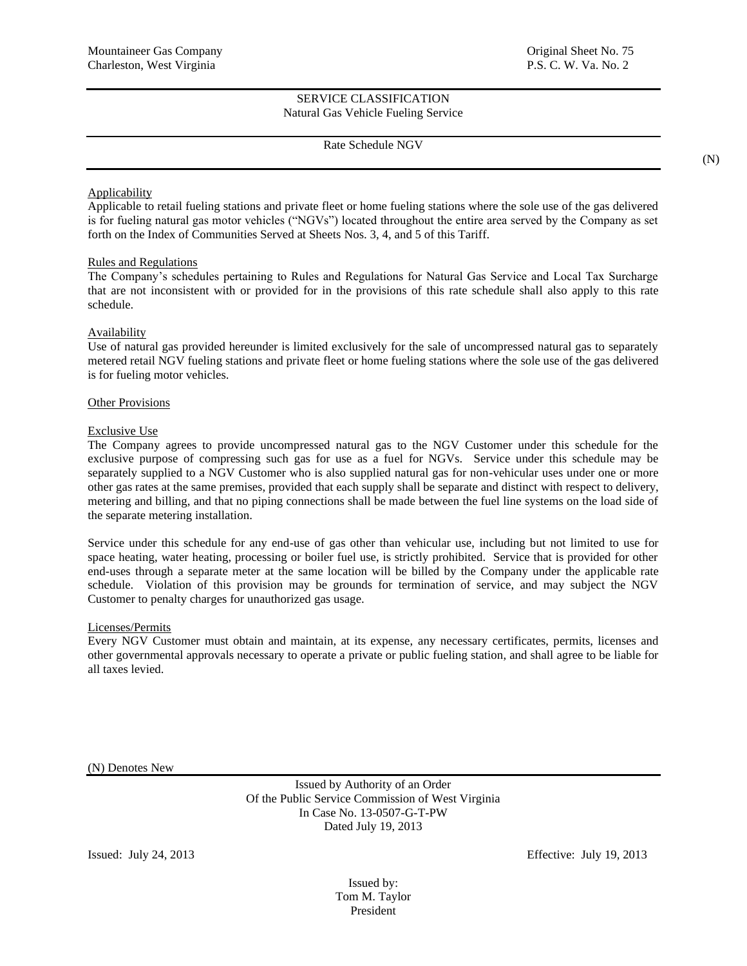Rate Schedule NGV

## Applicability

Applicable to retail fueling stations and private fleet or home fueling stations where the sole use of the gas delivered is for fueling natural gas motor vehicles ("NGVs") located throughout the entire area served by the Company as set forth on the Index of Communities Served at Sheets Nos. 3, 4, and 5 of this Tariff.

## Rules and Regulations

The Company's schedules pertaining to Rules and Regulations for Natural Gas Service and Local Tax Surcharge that are not inconsistent with or provided for in the provisions of this rate schedule shall also apply to this rate schedule.

# Availability

Use of natural gas provided hereunder is limited exclusively for the sale of uncompressed natural gas to separately metered retail NGV fueling stations and private fleet or home fueling stations where the sole use of the gas delivered is for fueling motor vehicles.

### Other Provisions

## Exclusive Use

The Company agrees to provide uncompressed natural gas to the NGV Customer under this schedule for the exclusive purpose of compressing such gas for use as a fuel for NGVs. Service under this schedule may be separately supplied to a NGV Customer who is also supplied natural gas for non-vehicular uses under one or more other gas rates at the same premises, provided that each supply shall be separate and distinct with respect to delivery, metering and billing, and that no piping connections shall be made between the fuel line systems on the load side of the separate metering installation.

Service under this schedule for any end-use of gas other than vehicular use, including but not limited to use for space heating, water heating, processing or boiler fuel use, is strictly prohibited. Service that is provided for other end-uses through a separate meter at the same location will be billed by the Company under the applicable rate schedule. Violation of this provision may be grounds for termination of service, and may subject the NGV Customer to penalty charges for unauthorized gas usage.

## Licenses/Permits

Every NGV Customer must obtain and maintain, at its expense, any necessary certificates, permits, licenses and other governmental approvals necessary to operate a private or public fueling station, and shall agree to be liable for all taxes levied.

(N) Denotes New

Issued by Authority of an Order Of the Public Service Commission of West Virginia In Case No. 13-0507-G-T-PW Dated July 19, 2013

Issued: July 24, 2013 Effective: July 19, 2013

Issued by: Tom M. Taylor President

(N)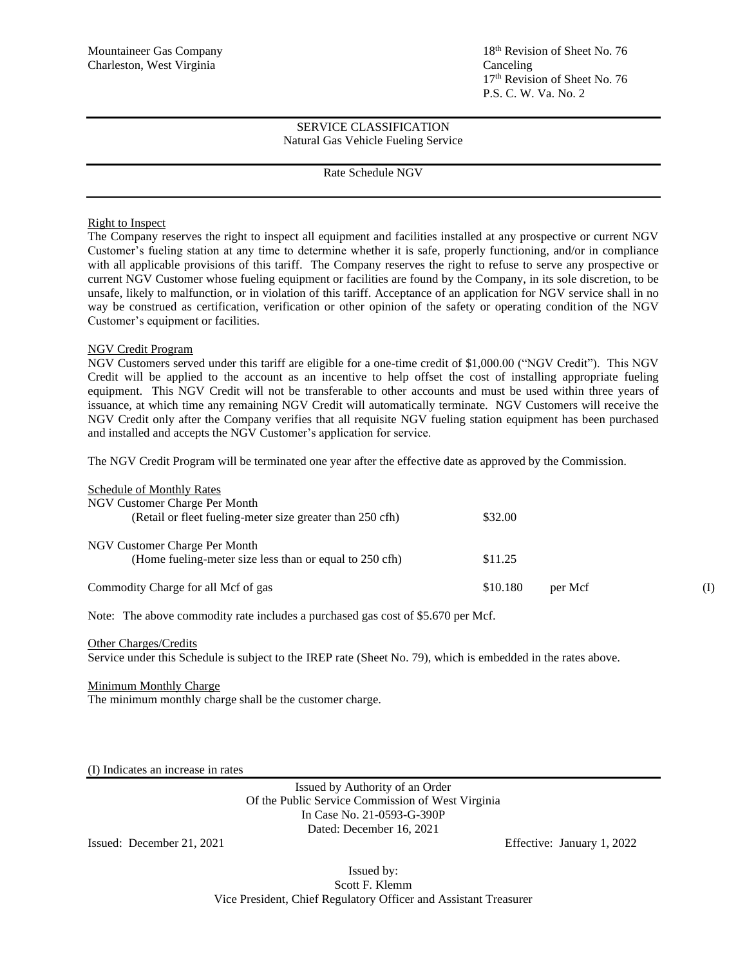# Rate Schedule NGV

## Right to Inspect

The Company reserves the right to inspect all equipment and facilities installed at any prospective or current NGV Customer's fueling station at any time to determine whether it is safe, properly functioning, and/or in compliance with all applicable provisions of this tariff. The Company reserves the right to refuse to serve any prospective or current NGV Customer whose fueling equipment or facilities are found by the Company, in its sole discretion, to be unsafe, likely to malfunction, or in violation of this tariff. Acceptance of an application for NGV service shall in no way be construed as certification, verification or other opinion of the safety or operating condition of the NGV Customer's equipment or facilities.

# NGV Credit Program

NGV Customers served under this tariff are eligible for a one-time credit of \$1,000.00 ("NGV Credit"). This NGV Credit will be applied to the account as an incentive to help offset the cost of installing appropriate fueling equipment. This NGV Credit will not be transferable to other accounts and must be used within three years of issuance, at which time any remaining NGV Credit will automatically terminate. NGV Customers will receive the NGV Credit only after the Company verifies that all requisite NGV fueling station equipment has been purchased and installed and accepts the NGV Customer's application for service.

The NGV Credit Program will be terminated one year after the effective date as approved by the Commission.

### Schedule of Monthly Rates

| Denetate of tylominy reales<br>NGV Customer Charge Per Month                             |                     |     |
|------------------------------------------------------------------------------------------|---------------------|-----|
| (Retail or fleet fueling-meter size greater than 250 cfh)                                | \$32.00             |     |
| NGV Customer Charge Per Month<br>(Home fueling-meter size less than or equal to 250 cfh) | \$11.25             |     |
| Commodity Charge for all Mcf of gas                                                      | \$10.180<br>per Mcf | (I) |

Note: The above commodity rate includes a purchased gas cost of \$5.670 per Mcf.

#### Other Charges/Credits

Service under this Schedule is subject to the IREP rate (Sheet No. 79), which is embedded in the rates above.

## Minimum Monthly Charge

The minimum monthly charge shall be the customer charge.

(I) Indicates an increase in rates

Issued by Authority of an Order Of the Public Service Commission of West Virginia In Case No. 21-0593-G-390P Dated: December 16, 2021

Issued: December 21, 2021 Effective: January 1, 2022

Issued by: Scott F. Klemm Vice President, Chief Regulatory Officer and Assistant Treasurer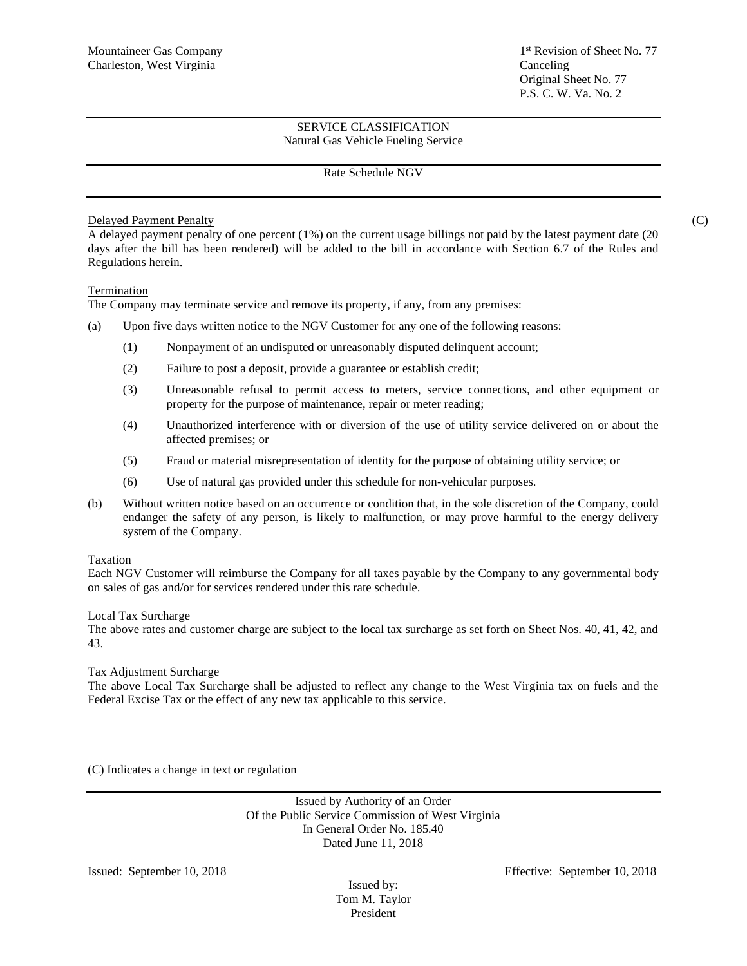# Rate Schedule NGV

# Delayed Payment Penalty (C)

A delayed payment penalty of one percent (1%) on the current usage billings not paid by the latest payment date (20 days after the bill has been rendered) will be added to the bill in accordance with Section 6.7 of the Rules and Regulations herein.

# Termination

The Company may terminate service and remove its property, if any, from any premises:

- (a) Upon five days written notice to the NGV Customer for any one of the following reasons:
	- (1) Nonpayment of an undisputed or unreasonably disputed delinquent account;
	- (2) Failure to post a deposit, provide a guarantee or establish credit;
	- (3) Unreasonable refusal to permit access to meters, service connections, and other equipment or property for the purpose of maintenance, repair or meter reading;
	- (4) Unauthorized interference with or diversion of the use of utility service delivered on or about the affected premises; or
	- (5) Fraud or material misrepresentation of identity for the purpose of obtaining utility service; or
	- (6) Use of natural gas provided under this schedule for non-vehicular purposes.
- (b) Without written notice based on an occurrence or condition that, in the sole discretion of the Company, could endanger the safety of any person, is likely to malfunction, or may prove harmful to the energy delivery system of the Company.

## Taxation

Each NGV Customer will reimburse the Company for all taxes payable by the Company to any governmental body on sales of gas and/or for services rendered under this rate schedule.

## Local Tax Surcharge

The above rates and customer charge are subject to the local tax surcharge as set forth on Sheet Nos. 40, 41, 42, and 43.

## Tax Adjustment Surcharge

The above Local Tax Surcharge shall be adjusted to reflect any change to the West Virginia tax on fuels and the Federal Excise Tax or the effect of any new tax applicable to this service.

(C) Indicates a change in text or regulation

Issued by Authority of an Order Of the Public Service Commission of West Virginia In General Order No. 185.40 Dated June 11, 2018

Issued by: Tom M. Taylor President

Issued: September 10, 2018 Effective: September 10, 2018